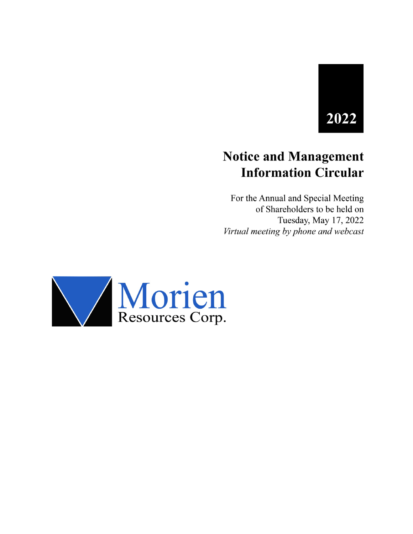# 2022

## **Notice and Management Information Circular**

For the Annual and Special Meeting of Shareholders to be held on Tuesday, May 17, 2022 Virtual meeting by phone and webcast

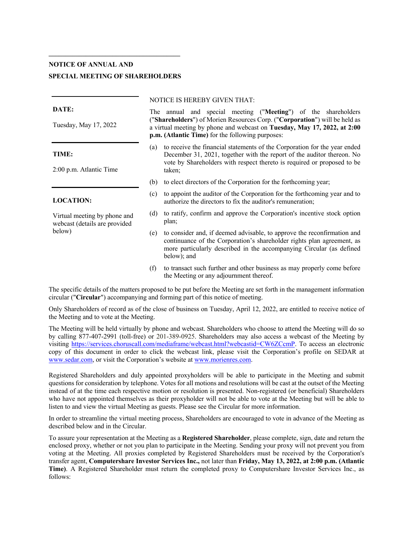### **NOTICE OF ANNUAL AND SPECIAL MEETING OF SHAREHOLDERS**

#### **DATE:**

Tuesday, May 17, 2022

#### **TIME:**

2:00 p.m. Atlantic Time

#### **LOCATION:**

Virtual meeting by phone and webcast (details are provided below)

#### NOTICE IS HEREBY GIVEN THAT:

The annual and special meeting ("**Meeting**") of the shareholders ("**Shareholders**") of Morien Resources Corp. ("**Corporation**") will be held as a virtual meeting by phone and webcast on **Tuesday, May 17, 2022, at 2:00 p.m. (Atlantic Time)** for the following purposes:

- (a) to receive the financial statements of the Corporation for the year ended December 31, 2021, together with the report of the auditor thereon. No vote by Shareholders with respect thereto is required or proposed to be taken;
- (b) to elect directors of the Corporation for the forthcoming year;
- (c) to appoint the auditor of the Corporation for the forthcoming year and to authorize the directors to fix the auditor's remuneration;
- (d) to ratify, confirm and approve the Corporation's incentive stock option plan;
- (e) to consider and, if deemed advisable, to approve the reconfirmation and continuance of the Corporation's shareholder rights plan agreement, as more particularly described in the accompanying Circular (as defined below); and
- (f) to transact such further and other business as may properly come before the Meeting or any adjournment thereof.

The specific details of the matters proposed to be put before the Meeting are set forth in the management information circular ("**Circular**") accompanying and forming part of this notice of meeting.

Only Shareholders of record as of the close of business on Tuesday, April 12, 2022, are entitled to receive notice of the Meeting and to vote at the Meeting.

The Meeting will be held virtually by phone and webcast. Shareholders who choose to attend the Meeting will do so by calling 877-407-2991 (toll-free) or 201-389-0925. Shareholders may also access a webcast of the Meeting by visiting https://services.choruscall.com/mediaframe/webcast.html?webcastid=CW6ZCcmP. To access an electronic copy of this document in order to click the webcast link, please visit the Corporation's profile on SEDAR at www.sedar.com, or visit the Corporation's website at www.morienres.com.

Registered Shareholders and duly appointed proxyholders will be able to participate in the Meeting and submit questions for consideration by telephone. Votes for all motions and resolutions will be cast at the outset of the Meeting instead of at the time each respective motion or resolution is presented. Non-registered (or beneficial) Shareholders who have not appointed themselves as their proxyholder will not be able to vote at the Meeting but will be able to listen to and view the virtual Meeting as guests. Please see the Circular for more information.

In order to streamline the virtual meeting process, Shareholders are encouraged to vote in advance of the Meeting as described below and in the Circular.

To assure your representation at the Meeting as a **Registered Shareholder**, please complete, sign, date and return the enclosed proxy, whether or not you plan to participate in the Meeting. Sending your proxy will not prevent you from voting at the Meeting. All proxies completed by Registered Shareholders must be received by the Corporation's transfer agent, **Computershare Investor Services Inc.,** not later than **Friday, May 13, 2022, at 2:00 p.m. (Atlantic Time)**. A Registered Shareholder must return the completed proxy to Computershare Investor Services Inc., as follows: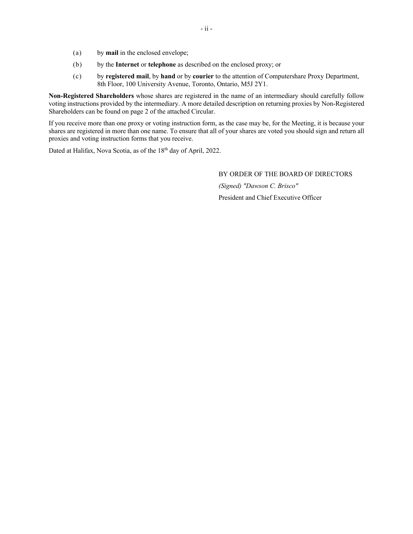- (a) by **mail** in the enclosed envelope;
- (b) by the **Internet** or **telephone** as described on the enclosed proxy; or
- (c) by **registered mail**, by **hand** or by **courier** to the attention of Computershare Proxy Department, 8th Floor, 100 University Avenue, Toronto, Ontario, M5J 2Y1.

**Non-Registered Shareholders** whose shares are registered in the name of an intermediary should carefully follow voting instructions provided by the intermediary. A more detailed description on returning proxies by Non-Registered Shareholders can be found on page 2 of the attached Circular.

If you receive more than one proxy or voting instruction form, as the case may be, for the Meeting, it is because your shares are registered in more than one name. To ensure that all of your shares are voted you should sign and return all proxies and voting instruction forms that you receive.

Dated at Halifax, Nova Scotia, as of the 18<sup>th</sup> day of April, 2022.

BY ORDER OF THE BOARD OF DIRECTORS

*(Signed) "Dawson C. Brisco"* President and Chief Executive Officer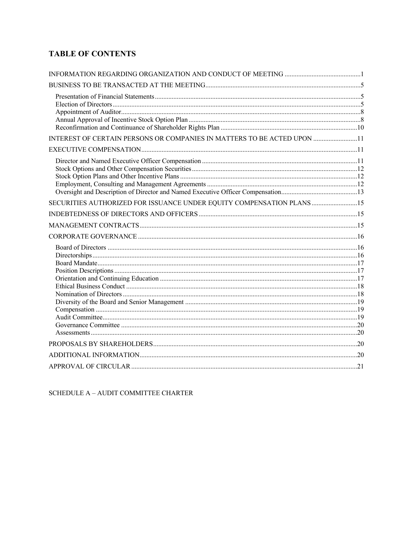## **TABLE OF CONTENTS**

| INTEREST OF CERTAIN PERSONS OR COMPANIES IN MATTERS TO BE ACTED UPON 11 |  |
|-------------------------------------------------------------------------|--|
|                                                                         |  |
|                                                                         |  |
| SECURITIES AUTHORIZED FOR ISSUANCE UNDER EQUITY COMPENSATION PLANS 15   |  |
|                                                                         |  |
|                                                                         |  |
|                                                                         |  |
|                                                                         |  |
|                                                                         |  |
|                                                                         |  |
|                                                                         |  |

SCHEDULE  $A - \text{AUDIT}$  COMMITTEE CHARTER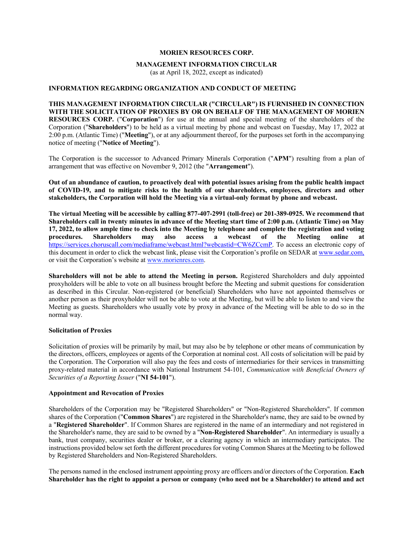#### **MORIEN RESOURCES CORP.**

#### **MANAGEMENT INFORMATION CIRCULAR**

(as at April 18, 2022, except as indicated)

#### **INFORMATION REGARDING ORGANIZATION AND CONDUCT OF MEETING**

#### **THIS MANAGEMENT INFORMATION CIRCULAR ("CIRCULAR") IS FURNISHED IN CONNECTION WITH THE SOLICITATION OF PROXIES BY OR ON BEHALF OF THE MANAGEMENT OF MORIEN RESOURCES CORP.** ("**Corporation**") for use at the annual and special meeting of the shareholders of the Corporation ("**Shareholders**") to be held as a virtual meeting by phone and webcast on Tuesday, May 17, 2022 at 2:00 p.m. (Atlantic Time) ("**Meeting**"), or at any adjournment thereof, for the purposes set forth in the accompanying notice of meeting ("**Notice of Meeting**").

The Corporation is the successor to Advanced Primary Minerals Corporation ("**APM**") resulting from a plan of arrangement that was effective on November 9, 2012 (the "**Arrangement**").

**Out of an abundance of caution, to proactively deal with potential issues arising from the public health impact of COVID-19, and to mitigate risks to the health of our shareholders, employees, directors and other stakeholders, the Corporation will hold the Meeting via a virtual-only format by phone and webcast.** 

**The virtual Meeting will be accessible by calling 877-407-2991 (toll-free) or 201-389-0925. We recommend that Shareholders call in twenty minutes in advance of the Meeting start time of 2:00 p.m. (Atlantic Time) on May 17, 2022, to allow ample time to check into the Meeting by telephone and complete the registration and voting procedures. Shareholders may also access a webcast of the Meeting online at**  https://services.choruscall.com/mediaframe/webcast.html?webcastid=CW6ZCcmP. To access an electronic copy of this document in order to click the webcast link, please visit the Corporation's profile on SEDAR at www.sedar.com, or visit the Corporation's website at www.morienres.com.

**Shareholders will not be able to attend the Meeting in person.** Registered Shareholders and duly appointed proxyholders will be able to vote on all business brought before the Meeting and submit questions for consideration as described in this Circular. Non-registered (or beneficial) Shareholders who have not appointed themselves or another person as their proxyholder will not be able to vote at the Meeting, but will be able to listen to and view the Meeting as guests. Shareholders who usually vote by proxy in advance of the Meeting will be able to do so in the normal way.

#### **Solicitation of Proxies**

Solicitation of proxies will be primarily by mail, but may also be by telephone or other means of communication by the directors, officers, employees or agents of the Corporation at nominal cost. All costs of solicitation will be paid by the Corporation. The Corporation will also pay the fees and costs of intermediaries for their services in transmitting proxy-related material in accordance with National Instrument 54-101, *Communication with Beneficial Owners of Securities of a Reporting Issuer* ("**NI 54-101**").

#### **Appointment and Revocation of Proxies**

Shareholders of the Corporation may be "Registered Shareholders" or "Non-Registered Shareholders". If common shares of the Corporation ("**Common Shares**") are registered in the Shareholder's name, they are said to be owned by a "**Registered Shareholder**". If Common Shares are registered in the name of an intermediary and not registered in the Shareholder's name, they are said to be owned by a "**Non-Registered Shareholder**". An intermediary is usually a bank, trust company, securities dealer or broker, or a clearing agency in which an intermediary participates. The instructions provided below set forth the different procedures for voting Common Shares at the Meeting to be followed by Registered Shareholders and Non-Registered Shareholders.

The persons named in the enclosed instrument appointing proxy are officers and/or directors of the Corporation. **Each Shareholder has the right to appoint a person or company (who need not be a Shareholder) to attend and act**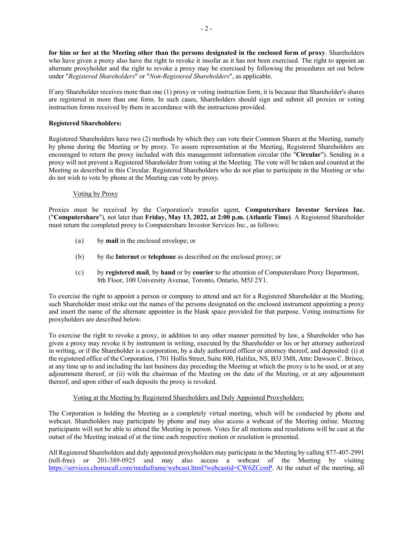**for him or her at the Meeting other than the persons designated in the enclosed form of proxy**. Shareholders who have given a proxy also have the right to revoke it insofar as it has not been exercised. The right to appoint an alternate proxyholder and the right to revoke a proxy may be exercised by following the procedures set out below under "*Registered Shareholders*" or "*Non-Registered Shareholders*", as applicable.

If any Shareholder receives more than one (1) proxy or voting instruction form, it is because that Shareholder's shares are registered in more than one form. In such cases, Shareholders should sign and submit all proxies or voting instruction forms received by them in accordance with the instructions provided.

#### **Registered Shareholders:**

Registered Shareholders have two (2) methods by which they can vote their Common Shares at the Meeting, namely by phone during the Meeting or by proxy. To assure representation at the Meeting, Registered Shareholders are encouraged to return the proxy included with this management information circular (the "**Circular**"). Sending in a proxy will not prevent a Registered Shareholder from voting at the Meeting. The vote will be taken and counted at the Meeting as described in this Circular. Registered Shareholders who do not plan to participate in the Meeting or who do not wish to vote by phone at the Meeting can vote by proxy.

#### Voting by Proxy

Proxies must be received by the Corporation's transfer agent, **Computershare Investor Services Inc.** ("**Computershare**"), not later than **Friday, May 13, 2022, at 2:00 p.m. (Atlantic Time)**. A Registered Shareholder must return the completed proxy to Computershare Investor Services Inc., as follows:

- (a) by **mail** in the enclosed envelope; or
- (b) by the **Internet** or **telephone** as described on the enclosed proxy; or
- (c) by **registered mail**, by **hand** or by **courier** to the attention of Computershare Proxy Department, 8th Floor, 100 University Avenue, Toronto, Ontario, M5J 2Y1.

To exercise the right to appoint a person or company to attend and act for a Registered Shareholder at the Meeting, such Shareholder must strike out the names of the persons designated on the enclosed instrument appointing a proxy and insert the name of the alternate appointee in the blank space provided for that purpose. Voting instructions for proxyholders are described below.

To exercise the right to revoke a proxy, in addition to any other manner permitted by law, a Shareholder who has given a proxy may revoke it by instrument in writing, executed by the Shareholder or his or her attorney authorized in writing, or if the Shareholder is a corporation, by a duly authorized officer or attorney thereof, and deposited: (i) at the registered office of the Corporation, 1701 Hollis Street, Suite 800, Halifax, NS, B3J 3M8, Attn: Dawson C. Brisco, at any time up to and including the last business day preceding the Meeting at which the proxy is to be used, or at any adjournment thereof, or (ii) with the chairman of the Meeting on the date of the Meeting, or at any adjournment thereof, and upon either of such deposits the proxy is revoked.

#### Voting at the Meeting by Registered Shareholders and Duly Appointed Proxyholders:

The Corporation is holding the Meeting as a completely virtual meeting, which will be conducted by phone and webcast. Shareholders may participate by phone and may also access a webcast of the Meeting online. Meeting participants will not be able to attend the Meeting in person. Votes for all motions and resolutions will be cast at the outset of the Meeting instead of at the time each respective motion or resolution is presented.

All Registered Shareholders and duly appointed proxyholders may participate in the Meeting by calling 877-407-2991 (toll-free) or 201-389-0925 and may also access a webcast of the Meeting by visiting https://services.choruscall.com/mediaframe/webcast.html?webcastid=CW6ZCcmP. At the outset of the meeting, all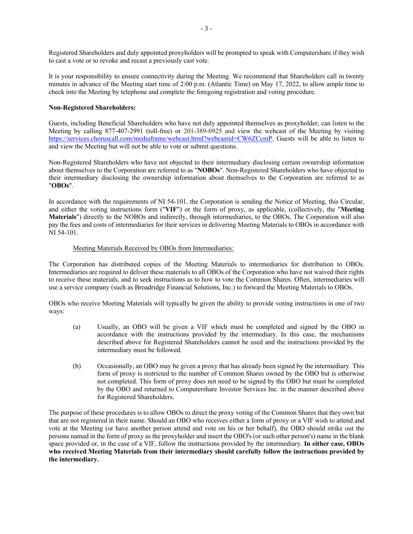Registered Shareholders and duly appointed proxyholders will be prompted to speak with Computershare if they wish to cast a vote or to revoke and recast a previously cast vote.

It is your responsibility to ensure connectivity during the Meeting. We recommend that Shareholders call in twenty minutes in advance of the Meeting start time of 2:00 p.m. (Atlantic Time) on May 17, 2022, to allow ample time to check into the Meeting by telephone and complete the foregoing registration and voting procedure.

#### **Non-Registered Shareholders:**

Guests, including Beneficial Shareholders who have not duly appointed themselves as proxyholder, can listen to the Meeting by calling 877-407-2991 (toll-free) or 201-389-0925 and view the webcast of the Meeting by visiting https://services.choruscall.com/mediaframe/webcast.html?webcastid=CW6ZCcmP. Guests will be able to listen to and view the Meeting but will not be able to vote or submit questions.

Non-Registered Shareholders who have not objected to their intermediary disclosing certain ownership information about themselves to the Corporation are referred to as "**NOBOs**". Non-Registered Shareholders who have objected to their intermediary disclosing the ownership information about themselves to the Corporation are referred to as "**OBOs**".

In accordance with the requirements of NI 54-101, the Corporation is sending the Notice of Meeting, this Circular, and either the voting instructions form ("**VIF**") or the form of proxy, as applicable, (collectively, the "**Meeting Materials**") directly to the NOBOs and indirectly, through intermediaries, to the OBOs. The Corporation will also pay the fees and costs of intermediaries for their services in delivering Meeting Materials to OBOs in accordance with NI 54-101.

#### Meeting Materials Received by OBOs from Intermediaries:

The Corporation has distributed copies of the Meeting Materials to intermediaries for distribution to OBOs. Intermediaries are required to deliver these materials to all OBOs of the Corporation who have not waived their rights to receive these materials, and to seek instructions as to how to vote the Common Shares. Often, intermediaries will use a service company (such as Broadridge Financial Solutions, Inc.) to forward the Meeting Materials to OBOs.

OBOs who receive Meeting Materials will typically be given the ability to provide voting instructions in one of two ways:

- (a) Usually, an OBO will be given a VIF which must be completed and signed by the OBO in accordance with the instructions provided by the intermediary. In this case, the mechanisms described above for Registered Shareholders cannot be used and the instructions provided by the intermediary must be followed.
- (b) Occasionally, an OBO may be given a proxy that has already been signed by the intermediary. This form of proxy is restricted to the number of Common Shares owned by the OBO but is otherwise not completed. This form of proxy does not need to be signed by the OBO but must be completed by the OBO and returned to Computershare Investor Services Inc. in the manner described above for Registered Shareholders.

The purpose of these procedures is to allow OBOs to direct the proxy voting of the Common Shares that they own but that are not registered in their name. Should an OBO who receives either a form of proxy or a VIF wish to attend and vote at the Meeting (or have another person attend and vote on his or her behalf), the OBO should strike out the persons named in the form of proxy as the proxyholder and insert the OBO's (or such other person's) name in the blank space provided or, in the case of a VIF, follow the instructions provided by the intermediary. **In either case, OBOs who received Meeting Materials from their intermediary should carefully follow the instructions provided by the intermediary.**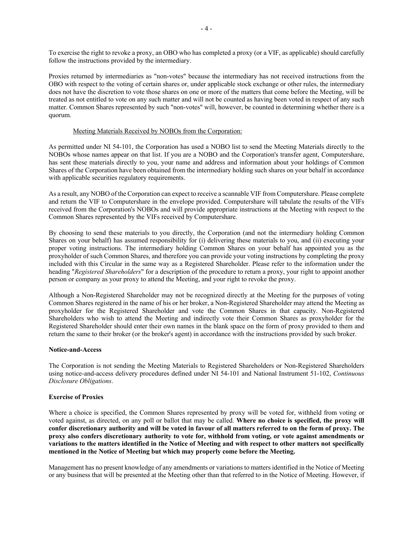To exercise the right to revoke a proxy, an OBO who has completed a proxy (or a VIF, as applicable) should carefully follow the instructions provided by the intermediary.

Proxies returned by intermediaries as "non-votes" because the intermediary has not received instructions from the OBO with respect to the voting of certain shares or, under applicable stock exchange or other rules, the intermediary does not have the discretion to vote those shares on one or more of the matters that come before the Meeting, will be treated as not entitled to vote on any such matter and will not be counted as having been voted in respect of any such matter. Common Shares represented by such "non-votes" will, however, be counted in determining whether there is a quorum.

#### Meeting Materials Received by NOBOs from the Corporation:

As permitted under NI 54-101, the Corporation has used a NOBO list to send the Meeting Materials directly to the NOBOs whose names appear on that list. If you are a NOBO and the Corporation's transfer agent, Computershare, has sent these materials directly to you, your name and address and information about your holdings of Common Shares of the Corporation have been obtained from the intermediary holding such shares on your behalf in accordance with applicable securities regulatory requirements.

As a result, any NOBO of the Corporation can expect to receive a scannable VIF from Computershare. Please complete and return the VIF to Computershare in the envelope provided. Computershare will tabulate the results of the VIFs received from the Corporation's NOBOs and will provide appropriate instructions at the Meeting with respect to the Common Shares represented by the VIFs received by Computershare.

By choosing to send these materials to you directly, the Corporation (and not the intermediary holding Common Shares on your behalf) has assumed responsibility for (i) delivering these materials to you, and (ii) executing your proper voting instructions. The intermediary holding Common Shares on your behalf has appointed you as the proxyholder of such Common Shares, and therefore you can provide your voting instructions by completing the proxy included with this Circular in the same way as a Registered Shareholder. Please refer to the information under the heading "*Registered Shareholders*" for a description of the procedure to return a proxy, your right to appoint another person or company as your proxy to attend the Meeting, and your right to revoke the proxy.

Although a Non-Registered Shareholder may not be recognized directly at the Meeting for the purposes of voting Common Shares registered in the name of his or her broker, a Non-Registered Shareholder may attend the Meeting as proxyholder for the Registered Shareholder and vote the Common Shares in that capacity. Non-Registered Shareholders who wish to attend the Meeting and indirectly vote their Common Shares as proxyholder for the Registered Shareholder should enter their own names in the blank space on the form of proxy provided to them and return the same to their broker (or the broker's agent) in accordance with the instructions provided by such broker.

#### **Notice-and-Access**

The Corporation is not sending the Meeting Materials to Registered Shareholders or Non-Registered Shareholders using notice-and-access delivery procedures defined under NI 54-101 and National Instrument 51-102, *Continuous Disclosure Obligations*.

#### **Exercise of Proxies**

Where a choice is specified, the Common Shares represented by proxy will be voted for, withheld from voting or voted against, as directed, on any poll or ballot that may be called. **Where no choice is specified, the proxy will confer discretionary authority and will be voted in favour of all matters referred to on the form of proxy. The proxy also confers discretionary authority to vote for, withhold from voting, or vote against amendments or variations to the matters identified in the Notice of Meeting and with respect to other matters not specifically mentioned in the Notice of Meeting but which may properly come before the Meeting.**

Management has no present knowledge of any amendments or variations to matters identified in the Notice of Meeting or any business that will be presented at the Meeting other than that referred to in the Notice of Meeting. However, if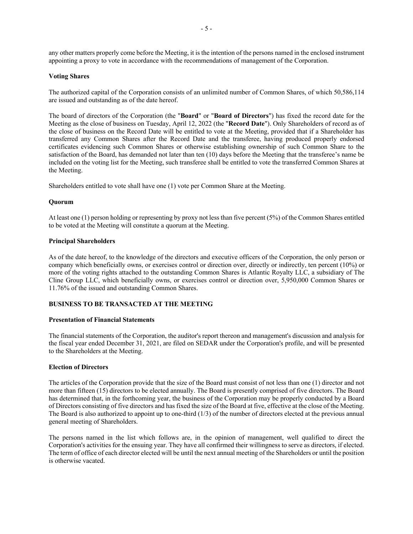any other matters properly come before the Meeting, it is the intention of the persons named in the enclosed instrument appointing a proxy to vote in accordance with the recommendations of management of the Corporation.

#### **Voting Shares**

The authorized capital of the Corporation consists of an unlimited number of Common Shares, of which 50,586,114 are issued and outstanding as of the date hereof.

The board of directors of the Corporation (the "**Board**" or "**Board of Directors**") has fixed the record date for the Meeting as the close of business on Tuesday, April 12, 2022 (the "**Record Date**"). Only Shareholders of record as of the close of business on the Record Date will be entitled to vote at the Meeting, provided that if a Shareholder has transferred any Common Shares after the Record Date and the transferee, having produced properly endorsed certificates evidencing such Common Shares or otherwise establishing ownership of such Common Share to the satisfaction of the Board, has demanded not later than ten (10) days before the Meeting that the transferee's name be included on the voting list for the Meeting, such transferee shall be entitled to vote the transferred Common Shares at the Meeting.

Shareholders entitled to vote shall have one (1) vote per Common Share at the Meeting.

#### **Quorum**

At least one (1) person holding or representing by proxy not less than five percent (5%) of the Common Shares entitled to be voted at the Meeting will constitute a quorum at the Meeting.

#### **Principal Shareholders**

As of the date hereof, to the knowledge of the directors and executive officers of the Corporation, the only person or company which beneficially owns, or exercises control or direction over, directly or indirectly, ten percent (10%) or more of the voting rights attached to the outstanding Common Shares is Atlantic Royalty LLC, a subsidiary of The Cline Group LLC, which beneficially owns, or exercises control or direction over, 5,950,000 Common Shares or 11.76% of the issued and outstanding Common Shares.

#### **BUSINESS TO BE TRANSACTED AT THE MEETING**

#### **Presentation of Financial Statements**

The financial statements of the Corporation, the auditor's report thereon and management's discussion and analysis for the fiscal year ended December 31, 2021, are filed on SEDAR under the Corporation's profile, and will be presented to the Shareholders at the Meeting.

#### **Election of Directors**

The articles of the Corporation provide that the size of the Board must consist of not less than one (1) director and not more than fifteen (15) directors to be elected annually. The Board is presently comprised of five directors. The Board has determined that, in the forthcoming year, the business of the Corporation may be properly conducted by a Board of Directors consisting of five directors and has fixed the size of the Board at five, effective at the close of the Meeting. The Board is also authorized to appoint up to one-third (1/3) of the number of directors elected at the previous annual general meeting of Shareholders.

The persons named in the list which follows are, in the opinion of management, well qualified to direct the Corporation's activities for the ensuing year. They have all confirmed their willingness to serve as directors, if elected. The term of office of each director elected will be until the next annual meeting of the Shareholders or until the position is otherwise vacated.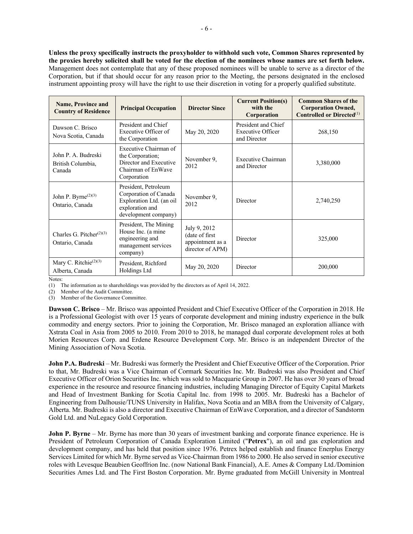**Unless the proxy specifically instructs the proxyholder to withhold such vote, Common Shares represented by the proxies hereby solicited shall be voted for the election of the nominees whose names are set forth below.** Management does not contemplate that any of these proposed nominees will be unable to serve as a director of the Corporation, but if that should occur for any reason prior to the Meeting, the persons designated in the enclosed instrument appointing proxy will have the right to use their discretion in voting for a properly qualified substitute.

| <b>Name, Province and</b><br><b>Country of Residence</b> | <b>Principal Occupation</b>                                                                                          | <b>Director Since</b>                                                               | <b>Current Position(s)</b><br>with the<br>Corporation    | <b>Common Shares of the</b><br><b>Corporation Owned,</b><br><b>Controlled or Directed</b> <sup>(1)</sup> |
|----------------------------------------------------------|----------------------------------------------------------------------------------------------------------------------|-------------------------------------------------------------------------------------|----------------------------------------------------------|----------------------------------------------------------------------------------------------------------|
| Dawson C. Brisco<br>Nova Scotia, Canada                  | President and Chief<br>Executive Officer of<br>the Corporation                                                       | May 20, 2020                                                                        | President and Chief<br>Executive Officer<br>and Director | 268,150                                                                                                  |
| John P. A. Budreski<br>British Columbia,<br>Canada       | Executive Chairman of<br>the Corporation;<br>Director and Executive<br>Chairman of EnWave<br>Corporation             | November 9,<br>2012                                                                 | Executive Chairman<br>and Director                       | 3,380,000                                                                                                |
| John P. Byrne $(2)(3)$<br>Ontario, Canada                | President, Petroleum<br>Corporation of Canada<br>Exploration Ltd. (an oil<br>exploration and<br>development company) | November 9,<br>Director<br>2012                                                     |                                                          | 2,740,250                                                                                                |
| Charles G. Pitcher $(2)(3)$<br>Ontario, Canada           | President, The Mining<br>House Inc. (a mine<br>engineering and<br>management services<br>company)                    | July 9, 2012<br>(date of first)<br>Director<br>appointment as a<br>director of APM) |                                                          | 325,000                                                                                                  |
| Mary C. Ritchie <sup>(2)(3)</sup><br>Alberta, Canada     | President, Richford<br>Holdings Ltd                                                                                  | May 20, 2020                                                                        | Director                                                 | 200,000                                                                                                  |

Notes:

(1) The information as to shareholdings was provided by the directors as of April 14, 2022.

(2) Member of the Audit Committee.

(3) Member of the Governance Committee.

**Dawson C. Brisco** – Mr. Brisco was appointed President and Chief Executive Officer of the Corporation in 2018. He is a Professional Geologist with over 15 years of corporate development and mining industry experience in the bulk commodity and energy sectors. Prior to joining the Corporation, Mr. Brisco managed an exploration alliance with Xstrata Coal in Asia from 2005 to 2010. From 2010 to 2018, he managed dual corporate development roles at both Morien Resources Corp. and Erdene Resource Development Corp. Mr. Brisco is an independent Director of the Mining Association of Nova Scotia.

**John P.A. Budreski** – Mr. Budreski was formerly the President and Chief Executive Officer of the Corporation. Prior to that, Mr. Budreski was a Vice Chairman of Cormark Securities Inc. Mr. Budreski was also President and Chief Executive Officer of Orion Securities Inc. which was sold to Macquarie Group in 2007. He has over 30 years of broad experience in the resource and resource financing industries, including Managing Director of Equity Capital Markets and Head of Investment Banking for Scotia Capital Inc. from 1998 to 2005. Mr. Budreski has a Bachelor of Engineering from Dalhousie/TUNS University in Halifax, Nova Scotia and an MBA from the University of Calgary, Alberta. Mr. Budreski is also a director and Executive Chairman of EnWave Corporation, and a director of Sandstorm Gold Ltd. and NuLegacy Gold Corporation.

**John P. Byrne** – Mr. Byrne has more than 30 years of investment banking and corporate finance experience. He is President of Petroleum Corporation of Canada Exploration Limited ("**Petrex**"), an oil and gas exploration and development company, and has held that position since 1976. Petrex helped establish and finance Enerplus Energy Services Limited for which Mr. Byrne served as Vice-Chairman from 1986 to 2000. He also served in senior executive roles with Levesque Beaubien Geoffrion Inc. (now National Bank Financial), A.E. Ames & Company Ltd./Dominion Securities Ames Ltd. and The First Boston Corporation. Mr. Byrne graduated from McGill University in Montreal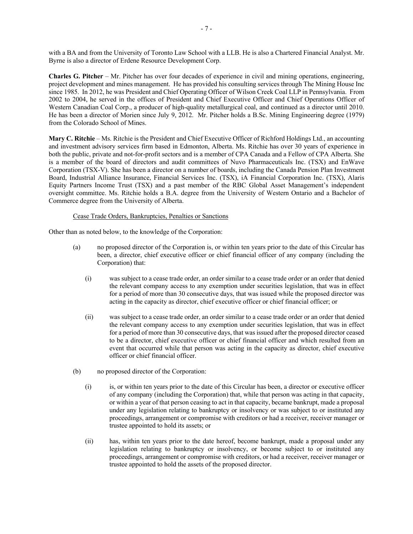with a BA and from the University of Toronto Law School with a LLB. He is also a Chartered Financial Analyst. Mr. Byrne is also a director of Erdene Resource Development Corp.

**Charles G. Pitcher** – Mr. Pitcher has over four decades of experience in civil and mining operations, engineering, project development and mines management. He has provided his consulting services through The Mining House Inc since 1985. In 2012, he was President and Chief Operating Officer of Wilson Creek Coal LLP in Pennsylvania. From 2002 to 2004, he served in the offices of President and Chief Executive Officer and Chief Operations Officer of Western Canadian Coal Corp., a producer of high-quality metallurgical coal, and continued as a director until 2010. He has been a director of Morien since July 9, 2012. Mr. Pitcher holds a B.Sc. Mining Engineering degree (1979) from the Colorado School of Mines.

**Mary C. Ritchie** – Ms. Ritchie is the President and Chief Executive Officer of Richford Holdings Ltd., an accounting and investment advisory services firm based in Edmonton, Alberta. Ms. Ritchie has over 30 years of experience in both the public, private and not-for-profit sectors and is a member of CPA Canada and a Fellow of CPA Alberta. She is a member of the board of directors and audit committees of Nuvo Pharmaceuticals Inc. (TSX) and EnWave Corporation (TSX-V). She has been a director on a number of boards, including the Canada Pension Plan Investment Board, Industrial Alliance Insurance, Financial Services Inc. (TSX), iA Financial Corporation Inc. (TSX), Alaris Equity Partners Income Trust (TSX) and a past member of the RBC Global Asset Management's independent oversight committee. Ms. Ritchie holds a B.A. degree from the University of Western Ontario and a Bachelor of Commerce degree from the University of Alberta.

#### Cease Trade Orders, Bankruptcies, Penalties or Sanctions

Other than as noted below, to the knowledge of the Corporation:

- (a) no proposed director of the Corporation is, or within ten years prior to the date of this Circular has been, a director, chief executive officer or chief financial officer of any company (including the Corporation) that:
	- (i) was subject to a cease trade order, an order similar to a cease trade order or an order that denied the relevant company access to any exemption under securities legislation, that was in effect for a period of more than 30 consecutive days, that was issued while the proposed director was acting in the capacity as director, chief executive officer or chief financial officer; or
	- (ii) was subject to a cease trade order, an order similar to a cease trade order or an order that denied the relevant company access to any exemption under securities legislation, that was in effect for a period of more than 30 consecutive days, that was issued after the proposed director ceased to be a director, chief executive officer or chief financial officer and which resulted from an event that occurred while that person was acting in the capacity as director, chief executive officer or chief financial officer.
- (b) no proposed director of the Corporation:
	- (i) is, or within ten years prior to the date of this Circular has been, a director or executive officer of any company (including the Corporation) that, while that person was acting in that capacity, or within a year of that person ceasing to act in that capacity, became bankrupt, made a proposal under any legislation relating to bankruptcy or insolvency or was subject to or instituted any proceedings, arrangement or compromise with creditors or had a receiver, receiver manager or trustee appointed to hold its assets; or
	- (ii) has, within ten years prior to the date hereof, become bankrupt, made a proposal under any legislation relating to bankruptcy or insolvency, or become subject to or instituted any proceedings, arrangement or compromise with creditors, or had a receiver, receiver manager or trustee appointed to hold the assets of the proposed director.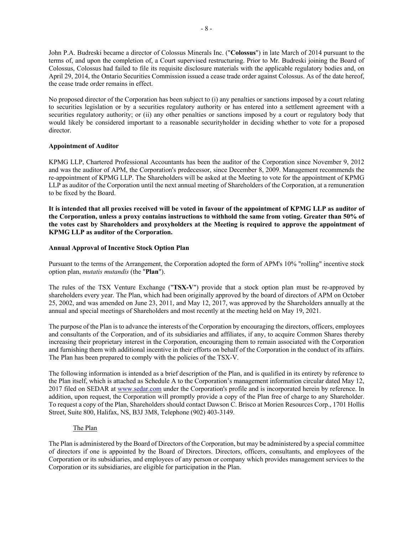John P.A. Budreski became a director of Colossus Minerals Inc. ("**Colossus**") in late March of 2014 pursuant to the terms of, and upon the completion of, a Court supervised restructuring. Prior to Mr. Budreski joining the Board of Colossus, Colossus had failed to file its requisite disclosure materials with the applicable regulatory bodies and, on April 29, 2014, the Ontario Securities Commission issued a cease trade order against Colossus. As of the date hereof, the cease trade order remains in effect.

No proposed director of the Corporation has been subject to (i) any penalties or sanctions imposed by a court relating to securities legislation or by a securities regulatory authority or has entered into a settlement agreement with a securities regulatory authority; or (ii) any other penalties or sanctions imposed by a court or regulatory body that would likely be considered important to a reasonable securityholder in deciding whether to vote for a proposed director.

#### **Appointment of Auditor**

KPMG LLP, Chartered Professional Accountants has been the auditor of the Corporation since November 9, 2012 and was the auditor of APM, the Corporation's predecessor, since December 8, 2009. Management recommends the re-appointment of KPMG LLP. The Shareholders will be asked at the Meeting to vote for the appointment of KPMG LLP as auditor of the Corporation until the next annual meeting of Shareholders of the Corporation, at a remuneration to be fixed by the Board.

**It is intended that all proxies received will be voted in favour of the appointment of KPMG LLP as auditor of the Corporation, unless a proxy contains instructions to withhold the same from voting. Greater than 50% of the votes cast by Shareholders and proxyholders at the Meeting is required to approve the appointment of KPMG LLP as auditor of the Corporation.**

#### **Annual Approval of Incentive Stock Option Plan**

Pursuant to the terms of the Arrangement, the Corporation adopted the form of APM's 10% "rolling" incentive stock option plan, *mutatis mutandis* (the "**Plan**").

The rules of the TSX Venture Exchange ("**TSX-V**") provide that a stock option plan must be re-approved by shareholders every year. The Plan, which had been originally approved by the board of directors of APM on October 25, 2002, and was amended on June 23, 2011, and May 12, 2017, was approved by the Shareholders annually at the annual and special meetings of Shareholders and most recently at the meeting held on May 19, 2021.

The purpose of the Plan is to advance the interests of the Corporation by encouraging the directors, officers, employees and consultants of the Corporation, and of its subsidiaries and affiliates, if any, to acquire Common Shares thereby increasing their proprietary interest in the Corporation, encouraging them to remain associated with the Corporation and furnishing them with additional incentive in their efforts on behalf of the Corporation in the conduct of its affairs. The Plan has been prepared to comply with the policies of the TSX-V.

The following information is intended as a brief description of the Plan, and is qualified in its entirety by reference to the Plan itself, which is attached as Schedule A to the Corporation's management information circular dated May 12, 2017 filed on SEDAR at www.sedar.com under the Corporation's profile and is incorporated herein by reference. In addition, upon request, the Corporation will promptly provide a copy of the Plan free of charge to any Shareholder. To request a copy of the Plan, Shareholders should contact Dawson C. Brisco at Morien Resources Corp., 1701 Hollis Street, Suite 800, Halifax, NS, B3J 3M8, Telephone (902) 403-3149.

#### The Plan

The Plan is administered by the Board of Directors of the Corporation, but may be administered by a special committee of directors if one is appointed by the Board of Directors. Directors, officers, consultants, and employees of the Corporation or its subsidiaries, and employees of any person or company which provides management services to the Corporation or its subsidiaries, are eligible for participation in the Plan.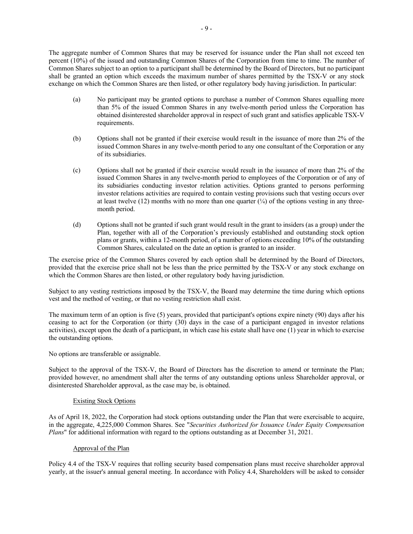The aggregate number of Common Shares that may be reserved for issuance under the Plan shall not exceed ten percent (10%) of the issued and outstanding Common Shares of the Corporation from time to time. The number of Common Shares subject to an option to a participant shall be determined by the Board of Directors, but no participant shall be granted an option which exceeds the maximum number of shares permitted by the TSX-V or any stock exchange on which the Common Shares are then listed, or other regulatory body having jurisdiction. In particular:

- (a) No participant may be granted options to purchase a number of Common Shares equalling more than 5% of the issued Common Shares in any twelve-month period unless the Corporation has obtained disinterested shareholder approval in respect of such grant and satisfies applicable TSX-V requirements.
- (b) Options shall not be granted if their exercise would result in the issuance of more than 2% of the issued Common Shares in any twelve-month period to any one consultant of the Corporation or any of its subsidiaries.
- (c) Options shall not be granted if their exercise would result in the issuance of more than 2% of the issued Common Shares in any twelve-month period to employees of the Corporation or of any of its subsidiaries conducting investor relation activities. Options granted to persons performing investor relations activities are required to contain vesting provisions such that vesting occurs over at least twelve (12) months with no more than one quarter  $\binom{1}{4}$  of the options vesting in any threemonth period.
- (d) Options shall not be granted if such grant would result in the grant to insiders (as a group) under the Plan, together with all of the Corporation's previously established and outstanding stock option plans or grants, within a 12-month period, of a number of options exceeding 10% of the outstanding Common Shares, calculated on the date an option is granted to an insider.

The exercise price of the Common Shares covered by each option shall be determined by the Board of Directors, provided that the exercise price shall not be less than the price permitted by the TSX-V or any stock exchange on which the Common Shares are then listed, or other regulatory body having jurisdiction.

Subject to any vesting restrictions imposed by the TSX-V, the Board may determine the time during which options vest and the method of vesting, or that no vesting restriction shall exist.

The maximum term of an option is five (5) years, provided that participant's options expire ninety (90) days after his ceasing to act for the Corporation (or thirty (30) days in the case of a participant engaged in investor relations activities), except upon the death of a participant, in which case his estate shall have one (1) year in which to exercise the outstanding options.

No options are transferable or assignable.

Subject to the approval of the TSX-V, the Board of Directors has the discretion to amend or terminate the Plan; provided however, no amendment shall alter the terms of any outstanding options unless Shareholder approval, or disinterested Shareholder approval, as the case may be, is obtained.

#### Existing Stock Options

As of April 18, 2022, the Corporation had stock options outstanding under the Plan that were exercisable to acquire, in the aggregate, 4,225,000 Common Shares. See "*Securities Authorized for Issuance Under Equity Compensation Plans*" for additional information with regard to the options outstanding as at December 31, 2021.

#### Approval of the Plan

Policy 4.4 of the TSX-V requires that rolling security based compensation plans must receive shareholder approval yearly, at the issuer's annual general meeting. In accordance with Policy 4.4, Shareholders will be asked to consider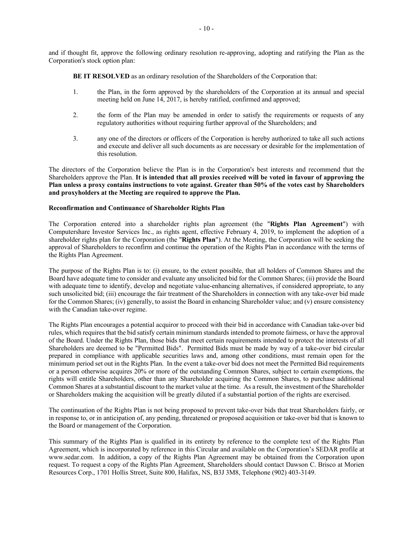and if thought fit, approve the following ordinary resolution re-approving, adopting and ratifying the Plan as the Corporation's stock option plan:

**BE IT RESOLVED** as an ordinary resolution of the Shareholders of the Corporation that:

- 1. the Plan, in the form approved by the shareholders of the Corporation at its annual and special meeting held on June 14, 2017, is hereby ratified, confirmed and approved;
- 2. the form of the Plan may be amended in order to satisfy the requirements or requests of any regulatory authorities without requiring further approval of the Shareholders; and
- 3. any one of the directors or officers of the Corporation is hereby authorized to take all such actions and execute and deliver all such documents as are necessary or desirable for the implementation of this resolution.

The directors of the Corporation believe the Plan is in the Corporation's best interests and recommend that the Shareholders approve the Plan. **It is intended that all proxies received will be voted in favour of approving the Plan unless a proxy contains instructions to vote against. Greater than 50% of the votes cast by Shareholders and proxyholders at the Meeting are required to approve the Plan.** 

#### **Reconfirmation and Continuance of Shareholder Rights Plan**

The Corporation entered into a shareholder rights plan agreement (the "**Rights Plan Agreement**") with Computershare Investor Services Inc., as rights agent, effective February 4, 2019, to implement the adoption of a shareholder rights plan for the Corporation (the "**Rights Plan**"). At the Meeting, the Corporation will be seeking the approval of Shareholders to reconfirm and continue the operation of the Rights Plan in accordance with the terms of the Rights Plan Agreement.

The purpose of the Rights Plan is to: (i) ensure, to the extent possible, that all holders of Common Shares and the Board have adequate time to consider and evaluate any unsolicited bid for the Common Shares; (ii) provide the Board with adequate time to identify, develop and negotiate value-enhancing alternatives, if considered appropriate, to any such unsolicited bid; (iii) encourage the fair treatment of the Shareholders in connection with any take-over bid made for the Common Shares; (iv) generally, to assist the Board in enhancing Shareholder value; and (v) ensure consistency with the Canadian take-over regime.

The Rights Plan encourages a potential acquiror to proceed with their bid in accordance with Canadian take-over bid rules, which requires that the bid satisfy certain minimum standards intended to promote fairness, or have the approval of the Board. Under the Rights Plan, those bids that meet certain requirements intended to protect the interests of all Shareholders are deemed to be "Permitted Bids". Permitted Bids must be made by way of a take-over bid circular prepared in compliance with applicable securities laws and, among other conditions, must remain open for the minimum period set out in the Rights Plan. In the event a take-over bid does not meet the Permitted Bid requirements or a person otherwise acquires 20% or more of the outstanding Common Shares, subject to certain exemptions, the rights will entitle Shareholders, other than any Shareholder acquiring the Common Shares, to purchase additional Common Shares at a substantial discount to the market value at the time. As a result, the investment of the Shareholder or Shareholders making the acquisition will be greatly diluted if a substantial portion of the rights are exercised.

The continuation of the Rights Plan is not being proposed to prevent take-over bids that treat Shareholders fairly, or in response to, or in anticipation of, any pending, threatened or proposed acquisition or take-over bid that is known to the Board or management of the Corporation.

This summary of the Rights Plan is qualified in its entirety by reference to the complete text of the Rights Plan Agreement, which is incorporated by reference in this Circular and available on the Corporation's SEDAR profile at www.sedar.com. In addition, a copy of the Rights Plan Agreement may be obtained from the Corporation upon request. To request a copy of the Rights Plan Agreement, Shareholders should contact Dawson C. Brisco at Morien Resources Corp., 1701 Hollis Street, Suite 800, Halifax, NS, B3J 3M8, Telephone (902) 403-3149.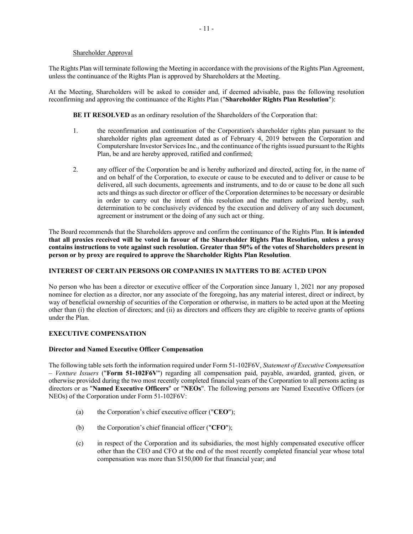#### Shareholder Approval

The Rights Plan will terminate following the Meeting in accordance with the provisions of the Rights Plan Agreement, unless the continuance of the Rights Plan is approved by Shareholders at the Meeting.

At the Meeting, Shareholders will be asked to consider and, if deemed advisable, pass the following resolution reconfirming and approving the continuance of the Rights Plan ("**Shareholder Rights Plan Resolution**"):

**BE IT RESOLVED** as an ordinary resolution of the Shareholders of the Corporation that:

- 1. the reconfirmation and continuation of the Corporation's shareholder rights plan pursuant to the shareholder rights plan agreement dated as of February 4, 2019 between the Corporation and Computershare Investor Services Inc., and the continuance of the rights issued pursuant to the Rights Plan, be and are hereby approved, ratified and confirmed;
- 2. any officer of the Corporation be and is hereby authorized and directed, acting for, in the name of and on behalf of the Corporation, to execute or cause to be executed and to deliver or cause to be delivered, all such documents, agreements and instruments, and to do or cause to be done all such acts and things as such director or officer of the Corporation determines to be necessary or desirable in order to carry out the intent of this resolution and the matters authorized hereby, such determination to be conclusively evidenced by the execution and delivery of any such document, agreement or instrument or the doing of any such act or thing.

The Board recommends that the Shareholders approve and confirm the continuance of the Rights Plan. **It is intended that all proxies received will be voted in favour of the Shareholder Rights Plan Resolution, unless a proxy contains instructions to vote against such resolution. Greater than 50% of the votes of Shareholders present in person or by proxy are required to approve the Shareholder Rights Plan Resolution**.

#### **INTEREST OF CERTAIN PERSONS OR COMPANIES IN MATTERS TO BE ACTED UPON**

No person who has been a director or executive officer of the Corporation since January 1, 2021 nor any proposed nominee for election as a director, nor any associate of the foregoing, has any material interest, direct or indirect, by way of beneficial ownership of securities of the Corporation or otherwise, in matters to be acted upon at the Meeting other than (i) the election of directors; and (ii) as directors and officers they are eligible to receive grants of options under the Plan.

#### **EXECUTIVE COMPENSATION**

#### **Director and Named Executive Officer Compensation**

The following table sets forth the information required under Form 51-102F6V, *Statement of Executive Compensation – Venture Issuers* ("**Form 51-102F6V**") regarding all compensation paid, payable, awarded, granted, given, or otherwise provided during the two most recently completed financial years of the Corporation to all persons acting as directors or as "**Named Executive Officers**" or "**NEOs**". The following persons are Named Executive Officers (or NEOs) of the Corporation under Form 51-102F6V:

- (a) the Corporation's chief executive officer ("**CEO**");
- (b) the Corporation's chief financial officer ("**CFO**");
- (c) in respect of the Corporation and its subsidiaries, the most highly compensated executive officer other than the CEO and CFO at the end of the most recently completed financial year whose total compensation was more than \$150,000 for that financial year; and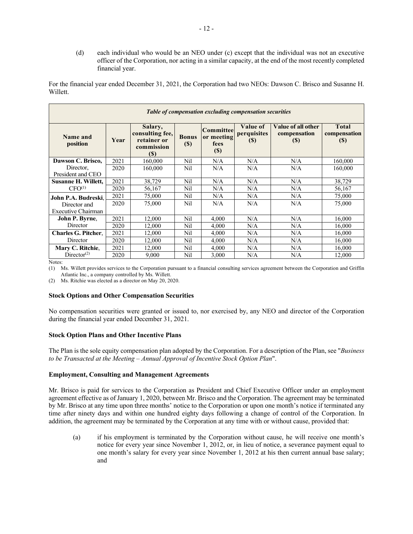(d) each individual who would be an NEO under (c) except that the individual was not an executive officer of the Corporation, nor acting in a similar capacity, at the end of the most recently completed financial year.

For the financial year ended December 31, 2021, the Corporation had two NEOs: Dawson C. Brisco and Susanne H. Willett.

| Table of compensation excluding compensation securities |      |                                                                        |                        |                                        |                                              |                                                  |                                     |
|---------------------------------------------------------|------|------------------------------------------------------------------------|------------------------|----------------------------------------|----------------------------------------------|--------------------------------------------------|-------------------------------------|
| Name and<br>position                                    | Year | Salary,<br>consulting fee,<br>retainer or<br>commission<br><b>(\$)</b> | <b>Bonus</b><br>$(\$)$ | Committee<br>or meeting<br>fees<br>(S) | <b>Value of</b><br>perquisites<br><b>(S)</b> | Value of all other<br>compensation<br><b>(S)</b> | <b>Total</b><br>compensation<br>(S) |
| Dawson C. Brisco,                                       | 2021 | 160,000                                                                | Nil                    | N/A                                    | N/A                                          | N/A                                              | 160,000                             |
| Director,<br>President and CEO                          | 2020 | 160,000                                                                | Nil                    | N/A                                    | N/A                                          | N/A                                              | 160,000                             |
| Susanne H. Willett,                                     | 2021 | 38,729                                                                 | Nil                    | N/A                                    | N/A                                          | N/A                                              | 38,729                              |
| CFO <sup>(1)</sup>                                      | 2020 | 56,167                                                                 | Nil                    | N/A                                    | N/A                                          | N/A                                              | 56,167                              |
| John P.A. Budreski.                                     | 2021 | 75,000                                                                 | Nil                    | N/A                                    | N/A                                          | N/A                                              | 75,000                              |
| Director and                                            | 2020 | 75,000                                                                 | Nil                    | N/A                                    | N/A                                          | N/A                                              | 75,000                              |
| Executive Chairman                                      |      |                                                                        |                        |                                        |                                              |                                                  |                                     |
| John P. Byrne,                                          | 2021 | 12,000                                                                 | Nil                    | 4.000                                  | N/A                                          | N/A                                              | 16,000                              |
| Director                                                | 2020 | 12,000                                                                 | Nil                    | 4.000                                  | N/A                                          | N/A                                              | 16,000                              |
| <b>Charles G. Pitcher.</b>                              | 2021 | 12,000                                                                 | Nil                    | 4.000                                  | N/A                                          | N/A                                              | 16,000                              |
| Director                                                | 2020 | 12,000                                                                 | Nil                    | 4,000                                  | N/A                                          | N/A                                              | 16,000                              |
| Mary C. Ritchie,                                        | 2021 | 12,000                                                                 | Nil                    | 4,000                                  | N/A                                          | N/A                                              | 16,000                              |
| Director <sup>(2)</sup>                                 | 2020 | 9,000                                                                  | Nil                    | 3.000                                  | N/A                                          | N/A                                              | 12,000                              |

Notes:

(1) Ms. Willett provides services to the Corporation pursuant to a financial consulting services agreement between the Corporation and Griffin Atlantic Inc., a company controlled by Ms. Willett.

(2) Ms. Ritchie was elected as a director on May 20, 2020.

#### **Stock Options and Other Compensation Securities**

No compensation securities were granted or issued to, nor exercised by, any NEO and director of the Corporation during the financial year ended December 31, 2021.

#### **Stock Option Plans and Other Incentive Plans**

The Plan is the sole equity compensation plan adopted by the Corporation. For a description of the Plan, see "*Business to be Transacted at the Meeting – Annual Approval of Incentive Stock Option Plan*".

#### **Employment, Consulting and Management Agreements**

Mr. Brisco is paid for services to the Corporation as President and Chief Executive Officer under an employment agreement effective as of January 1, 2020, between Mr. Brisco and the Corporation. The agreement may be terminated by Mr. Brisco at any time upon three months' notice to the Corporation or upon one month's notice if terminated any time after ninety days and within one hundred eighty days following a change of control of the Corporation. In addition, the agreement may be terminated by the Corporation at any time with or without cause, provided that:

(a) if his employment is terminated by the Corporation without cause, he will receive one month's notice for every year since November 1, 2012, or, in lieu of notice, a severance payment equal to one month's salary for every year since November 1, 2012 at his then current annual base salary; and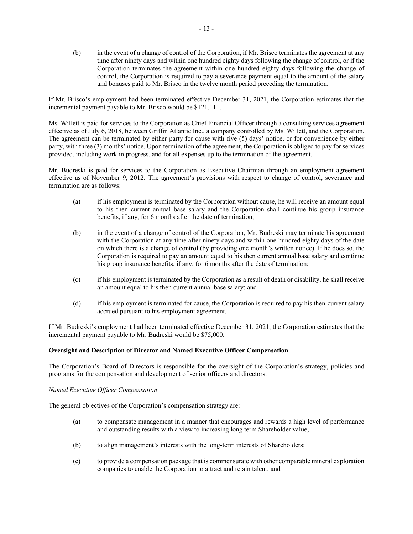(b) in the event of a change of control of the Corporation, if Mr. Brisco terminates the agreement at any time after ninety days and within one hundred eighty days following the change of control, or if the Corporation terminates the agreement within one hundred eighty days following the change of control, the Corporation is required to pay a severance payment equal to the amount of the salary and bonuses paid to Mr. Brisco in the twelve month period preceding the termination.

If Mr. Brisco's employment had been terminated effective December 31, 2021, the Corporation estimates that the incremental payment payable to Mr. Brisco would be \$121,111.

Ms. Willett is paid for services to the Corporation as Chief Financial Officer through a consulting services agreement effective as of July 6, 2018, between Griffin Atlantic Inc., a company controlled by Ms. Willett, and the Corporation. The agreement can be terminated by either party for cause with five (5) days' notice, or for convenience by either party, with three (3) months' notice. Upon termination of the agreement, the Corporation is obliged to pay for services provided, including work in progress, and for all expenses up to the termination of the agreement.

Mr. Budreski is paid for services to the Corporation as Executive Chairman through an employment agreement effective as of November 9, 2012. The agreement's provisions with respect to change of control, severance and termination are as follows:

- (a) if his employment is terminated by the Corporation without cause, he will receive an amount equal to his then current annual base salary and the Corporation shall continue his group insurance benefits, if any, for 6 months after the date of termination;
- (b) in the event of a change of control of the Corporation, Mr. Budreski may terminate his agreement with the Corporation at any time after ninety days and within one hundred eighty days of the date on which there is a change of control (by providing one month's written notice). If he does so, the Corporation is required to pay an amount equal to his then current annual base salary and continue his group insurance benefits, if any, for 6 months after the date of termination;
- (c) if his employment is terminated by the Corporation as a result of death or disability, he shall receive an amount equal to his then current annual base salary; and
- (d) if his employment is terminated for cause, the Corporation is required to pay his then-current salary accrued pursuant to his employment agreement.

If Mr. Budreski's employment had been terminated effective December 31, 2021, the Corporation estimates that the incremental payment payable to Mr. Budreski would be \$75,000.

#### **Oversight and Description of Director and Named Executive Officer Compensation**

The Corporation's Board of Directors is responsible for the oversight of the Corporation's strategy, policies and programs for the compensation and development of senior officers and directors.

#### *Named Executive Officer Compensation*

The general objectives of the Corporation's compensation strategy are:

- (a) to compensate management in a manner that encourages and rewards a high level of performance and outstanding results with a view to increasing long term Shareholder value;
- (b) to align management's interests with the long-term interests of Shareholders;
- (c) to provide a compensation package that is commensurate with other comparable mineral exploration companies to enable the Corporation to attract and retain talent; and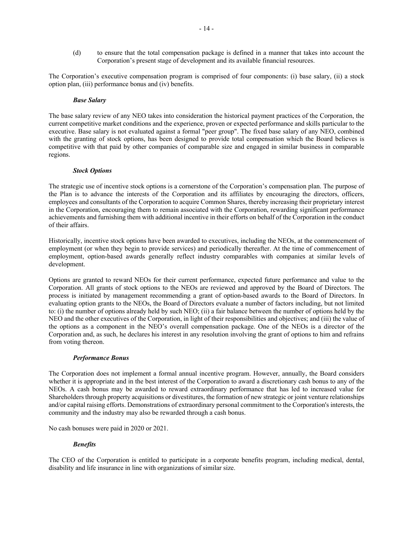(d) to ensure that the total compensation package is defined in a manner that takes into account the Corporation's present stage of development and its available financial resources.

The Corporation's executive compensation program is comprised of four components: (i) base salary, (ii) a stock option plan, (iii) performance bonus and (iv) benefits.

#### *Base Salary*

The base salary review of any NEO takes into consideration the historical payment practices of the Corporation, the current competitive market conditions and the experience, proven or expected performance and skills particular to the executive. Base salary is not evaluated against a formal "peer group". The fixed base salary of any NEO, combined with the granting of stock options, has been designed to provide total compensation which the Board believes is competitive with that paid by other companies of comparable size and engaged in similar business in comparable regions.

#### *Stock Options*

The strategic use of incentive stock options is a cornerstone of the Corporation's compensation plan. The purpose of the Plan is to advance the interests of the Corporation and its affiliates by encouraging the directors, officers, employees and consultants of the Corporation to acquire Common Shares, thereby increasing their proprietary interest in the Corporation, encouraging them to remain associated with the Corporation, rewarding significant performance achievements and furnishing them with additional incentive in their efforts on behalf of the Corporation in the conduct of their affairs.

Historically, incentive stock options have been awarded to executives, including the NEOs, at the commencement of employment (or when they begin to provide services) and periodically thereafter. At the time of commencement of employment, option-based awards generally reflect industry comparables with companies at similar levels of development.

Options are granted to reward NEOs for their current performance, expected future performance and value to the Corporation. All grants of stock options to the NEOs are reviewed and approved by the Board of Directors. The process is initiated by management recommending a grant of option-based awards to the Board of Directors. In evaluating option grants to the NEOs, the Board of Directors evaluate a number of factors including, but not limited to: (i) the number of options already held by such NEO; (ii) a fair balance between the number of options held by the NEO and the other executives of the Corporation, in light of their responsibilities and objectives; and (iii) the value of the options as a component in the NEO's overall compensation package. One of the NEOs is a director of the Corporation and, as such, he declares his interest in any resolution involving the grant of options to him and refrains from voting thereon.

#### *Performance Bonus*

The Corporation does not implement a formal annual incentive program. However, annually, the Board considers whether it is appropriate and in the best interest of the Corporation to award a discretionary cash bonus to any of the NEOs. A cash bonus may be awarded to reward extraordinary performance that has led to increased value for Shareholders through property acquisitions or divestitures, the formation of new strategic or joint venture relationships and/or capital raising efforts. Demonstrations of extraordinary personal commitment to the Corporation's interests, the community and the industry may also be rewarded through a cash bonus.

No cash bonuses were paid in 2020 or 2021.

#### *Benefits*

The CEO of the Corporation is entitled to participate in a corporate benefits program, including medical, dental, disability and life insurance in line with organizations of similar size.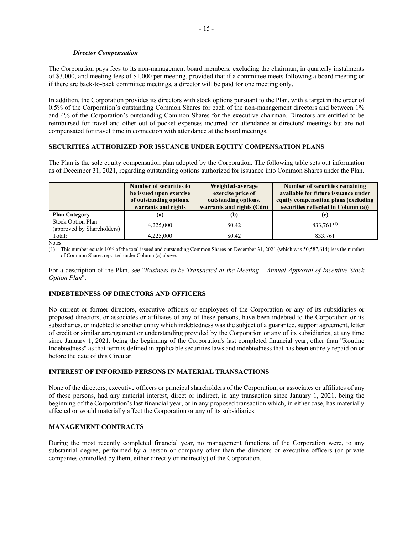#### *Director Compensation*

The Corporation pays fees to its non-management board members, excluding the chairman, in quarterly instalments of \$3,000, and meeting fees of \$1,000 per meeting, provided that if a committee meets following a board meeting or if there are back-to-back committee meetings, a director will be paid for one meeting only.

In addition, the Corporation provides its directors with stock options pursuant to the Plan, with a target in the order of 0.5% of the Corporation's outstanding Common Shares for each of the non-management directors and between 1% and 4% of the Corporation's outstanding Common Shares for the executive chairman. Directors are entitled to be reimbursed for travel and other out-of-pocket expenses incurred for attendance at directors' meetings but are not compensated for travel time in connection with attendance at the board meetings.

#### **SECURITIES AUTHORIZED FOR ISSUANCE UNDER EQUITY COMPENSATION PLANS**

The Plan is the sole equity compensation plan adopted by the Corporation. The following table sets out information as of December 31, 2021, regarding outstanding options authorized for issuance into Common Shares under the Plan.

|                                                        | <b>Number of securities to</b><br>be issued upon exercise<br>of outstanding options,<br>warrants and rights | Weighted-average<br>exercise price of<br>outstanding options,<br>warrants and rights (Cdn) | <b>Number of securities remaining</b><br>available for future issuance under<br>equity compensation plans (excluding<br>securities reflected in Column (a)) |
|--------------------------------------------------------|-------------------------------------------------------------------------------------------------------------|--------------------------------------------------------------------------------------------|-------------------------------------------------------------------------------------------------------------------------------------------------------------|
| <b>Plan Category</b>                                   | (a)                                                                                                         | (b)                                                                                        |                                                                                                                                                             |
| <b>Stock Option Plan</b><br>(approved by Shareholders) | 4,225,000                                                                                                   | \$0.42                                                                                     | $833,761^{(1)}$                                                                                                                                             |
| Total:                                                 | 4.225,000                                                                                                   | \$0.42                                                                                     | 833.761                                                                                                                                                     |

Notes:

(1) This number equals 10% of the total issued and outstanding Common Shares on December 31, 2021 (which was 50,587,614) less the number of Common Shares reported under Column (a) above.

For a description of the Plan, see "*Business to be Transacted at the Meeting – Annual Approval of Incentive Stock Option Plan*".

#### **INDEBTEDNESS OF DIRECTORS AND OFFICERS**

No current or former directors, executive officers or employees of the Corporation or any of its subsidiaries or proposed directors, or associates or affiliates of any of these persons, have been indebted to the Corporation or its subsidiaries, or indebted to another entity which indebtedness was the subject of a guarantee, support agreement, letter of credit or similar arrangement or understanding provided by the Corporation or any of its subsidiaries, at any time since January 1, 2021, being the beginning of the Corporation's last completed financial year, other than "Routine Indebtedness" as that term is defined in applicable securities laws and indebtedness that has been entirely repaid on or before the date of this Circular.

#### **INTEREST OF INFORMED PERSONS IN MATERIAL TRANSACTIONS**

None of the directors, executive officers or principal shareholders of the Corporation, or associates or affiliates of any of these persons, had any material interest, direct or indirect, in any transaction since January 1, 2021, being the beginning of the Corporation's last financial year, or in any proposed transaction which, in either case, has materially affected or would materially affect the Corporation or any of its subsidiaries.

#### **MANAGEMENT CONTRACTS**

During the most recently completed financial year, no management functions of the Corporation were, to any substantial degree, performed by a person or company other than the directors or executive officers (or private companies controlled by them, either directly or indirectly) of the Corporation.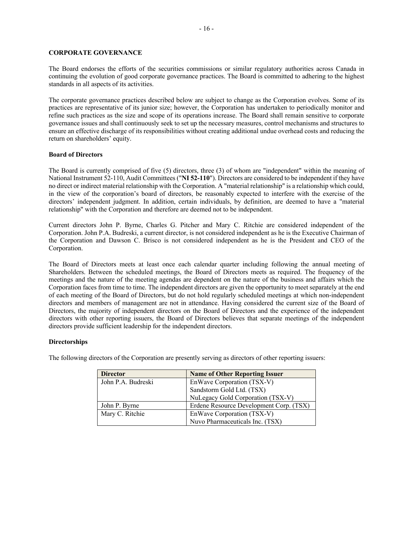#### **CORPORATE GOVERNANCE**

The Board endorses the efforts of the securities commissions or similar regulatory authorities across Canada in continuing the evolution of good corporate governance practices. The Board is committed to adhering to the highest standards in all aspects of its activities.

The corporate governance practices described below are subject to change as the Corporation evolves. Some of its practices are representative of its junior size; however, the Corporation has undertaken to periodically monitor and refine such practices as the size and scope of its operations increase. The Board shall remain sensitive to corporate governance issues and shall continuously seek to set up the necessary measures, control mechanisms and structures to ensure an effective discharge of its responsibilities without creating additional undue overhead costs and reducing the return on shareholders' equity.

#### **Board of Directors**

The Board is currently comprised of five (5) directors, three (3) of whom are "independent" within the meaning of National Instrument 52-110, Audit Committees ("**NI 52-110**"). Directors are considered to be independent if they have no direct or indirect material relationship with the Corporation. A "material relationship" is a relationship which could, in the view of the corporation's board of directors, be reasonably expected to interfere with the exercise of the directors' independent judgment. In addition, certain individuals, by definition, are deemed to have a "material relationship" with the Corporation and therefore are deemed not to be independent.

Current directors John P. Byrne, Charles G. Pitcher and Mary C. Ritchie are considered independent of the Corporation. John P.A. Budreski, a current director, is not considered independent as he is the Executive Chairman of the Corporation and Dawson C. Brisco is not considered independent as he is the President and CEO of the Corporation.

The Board of Directors meets at least once each calendar quarter including following the annual meeting of Shareholders. Between the scheduled meetings, the Board of Directors meets as required. The frequency of the meetings and the nature of the meeting agendas are dependent on the nature of the business and affairs which the Corporation faces from time to time. The independent directors are given the opportunity to meet separately at the end of each meeting of the Board of Directors, but do not hold regularly scheduled meetings at which non-independent directors and members of management are not in attendance. Having considered the current size of the Board of Directors, the majority of independent directors on the Board of Directors and the experience of the independent directors with other reporting issuers, the Board of Directors believes that separate meetings of the independent directors provide sufficient leadership for the independent directors.

#### **Directorships**

The following directors of the Corporation are presently serving as directors of other reporting issuers:

| <b>Director</b>    | <b>Name of Other Reporting Issuer</b>   |
|--------------------|-----------------------------------------|
| John P.A. Budreski | EnWave Corporation (TSX-V)              |
|                    | Sandstorm Gold Ltd. (TSX)               |
|                    | NuLegacy Gold Corporation (TSX-V)       |
| John P. Byrne      | Erdene Resource Development Corp. (TSX) |
| Mary C. Ritchie    | EnWave Corporation (TSX-V)              |
|                    | Nuvo Pharmaceuticals Inc. (TSX)         |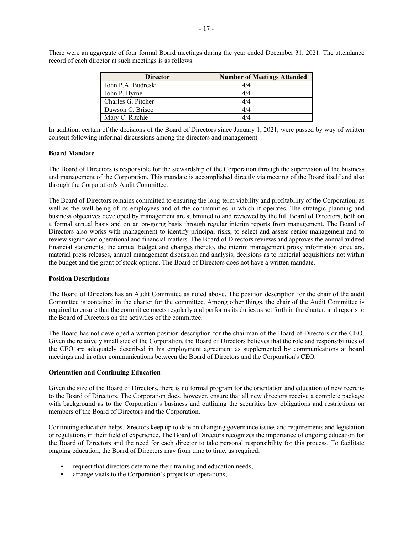There were an aggregate of four formal Board meetings during the year ended December 31, 2021. The attendance record of each director at such meetings is as follows:

| <b>Director</b>    | <b>Number of Meetings Attended</b> |
|--------------------|------------------------------------|
| John P.A. Budreski | 4/4                                |
| John P. Byrne      | 4/4                                |
| Charles G. Pitcher | 4/4                                |
| Dawson C. Brisco   | 4/4                                |
| Mary C. Ritchie    |                                    |

In addition, certain of the decisions of the Board of Directors since January 1, 2021, were passed by way of written consent following informal discussions among the directors and management.

#### **Board Mandate**

The Board of Directors is responsible for the stewardship of the Corporation through the supervision of the business and management of the Corporation. This mandate is accomplished directly via meeting of the Board itself and also through the Corporation's Audit Committee.

The Board of Directors remains committed to ensuring the long-term viability and profitability of the Corporation, as well as the well-being of its employees and of the communities in which it operates. The strategic planning and business objectives developed by management are submitted to and reviewed by the full Board of Directors, both on a formal annual basis and on an on-going basis through regular interim reports from management. The Board of Directors also works with management to identify principal risks, to select and assess senior management and to review significant operational and financial matters. The Board of Directors reviews and approves the annual audited financial statements, the annual budget and changes thereto, the interim management proxy information circulars, material press releases, annual management discussion and analysis, decisions as to material acquisitions not within the budget and the grant of stock options. The Board of Directors does not have a written mandate.

#### **Position Descriptions**

The Board of Directors has an Audit Committee as noted above. The position description for the chair of the audit Committee is contained in the charter for the committee. Among other things, the chair of the Audit Committee is required to ensure that the committee meets regularly and performs its duties as set forth in the charter, and reports to the Board of Directors on the activities of the committee.

The Board has not developed a written position description for the chairman of the Board of Directors or the CEO. Given the relatively small size of the Corporation, the Board of Directors believes that the role and responsibilities of the CEO are adequately described in his employment agreement as supplemented by communications at board meetings and in other communications between the Board of Directors and the Corporation's CEO.

#### **Orientation and Continuing Education**

Given the size of the Board of Directors, there is no formal program for the orientation and education of new recruits to the Board of Directors. The Corporation does, however, ensure that all new directors receive a complete package with background as to the Corporation's business and outlining the securities law obligations and restrictions on members of the Board of Directors and the Corporation.

Continuing education helps Directors keep up to date on changing governance issues and requirements and legislation or regulations in their field of experience. The Board of Directors recognizes the importance of ongoing education for the Board of Directors and the need for each director to take personal responsibility for this process. To facilitate ongoing education, the Board of Directors may from time to time, as required:

- request that directors determine their training and education needs;
- arrange visits to the Corporation's projects or operations;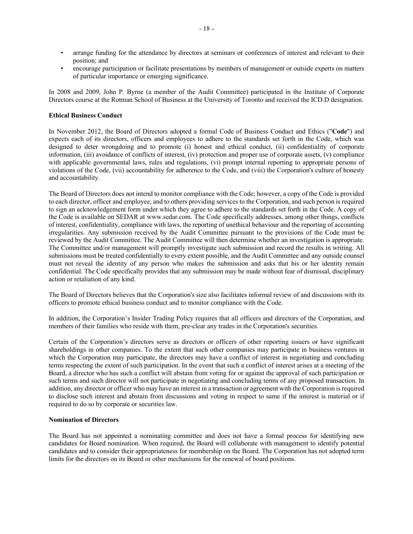- arrange funding for the attendance by directors at seminars or conferences of interest and relevant to their position; and
- encourage participation or facilitate presentations by members of management or outside experts on matters of particular importance or emerging significance.

In 2008 and 2009, John P. Byrne (a member of the Audit Committee) participated in the Institute of Corporate Directors course at the Rotman School of Business at the University of Toronto and received the ICD.D designation.

#### **Ethical Business Conduct**

In November 2012, the Board of Directors adopted a formal Code of Business Conduct and Ethics ("**Code**") and expects each of its directors, officers and employees to adhere to the standards set forth in the Code, which was designed to deter wrongdoing and to promote (i) honest and ethical conduct, (ii) confidentiality of corporate information, (iii) avoidance of conflicts of interest, (iv) protection and proper use of corporate assets, (v) compliance with applicable governmental laws, rules and regulations, (vi) prompt internal reporting to appropriate persons of violations of the Code, (vii) accountability for adherence to the Code, and (viii) the Corporation's culture of honesty and accountability.

The Board of Directors does not intend to monitor compliance with the Code; however, a copy of the Code is provided to each director, officer and employee, and to others providing services to the Corporation, and such person is required to sign an acknowledgement form under which they agree to adhere to the standards set forth in the Code. A copy of the Code is available on SEDAR at www.sedar.com. The Code specifically addresses, among other things, conflicts of interest, confidentiality, compliance with laws, the reporting of unethical behaviour and the reporting of accounting irregularities. Any submission received by the Audit Committee pursuant to the provisions of the Code must be reviewed by the Audit Committee. The Audit Committee will then determine whether an investigation is appropriate. The Committee and/or management will promptly investigate such submission and record the results in writing. All submissions must be treated confidentially to every extent possible, and the Audit Committee and any outside counsel must not reveal the identity of any person who makes the submission and asks that his or her identity remain confidential. The Code specifically provides that any submission may be made without fear of dismissal, disciplinary action or retaliation of any kind.

The Board of Directors believes that the Corporation's size also facilitates informal review of and discussions with its officers to promote ethical business conduct and to monitor compliance with the Code.

In addition, the Corporation's Insider Trading Policy requires that all officers and directors of the Corporation, and members of their families who reside with them, pre-clear any trades in the Corporation's securities.

Certain of the Corporation's directors serve as directors or officers of other reporting issuers or have significant shareholdings in other companies. To the extent that such other companies may participate in business ventures in which the Corporation may participate, the directors may have a conflict of interest in negotiating and concluding terms respecting the extent of such participation. In the event that such a conflict of interest arises at a meeting of the Board, a director who has such a conflict will abstain from voting for or against the approval of such participation or such terms and such director will not participate in negotiating and concluding terms of any proposed transaction. In addition, any director or officer who may have an interest in a transaction or agreement with the Corporation is required to disclose such interest and abstain from discussions and voting in respect to same if the interest is material or if required to do so by corporate or securities law.

#### **Nomination of Directors**

The Board has not appointed a nominating committee and does not have a formal process for identifying new candidates for Board nomination. When required, the Board will collaborate with management to identify potential candidates and to consider their appropriateness for membership on the Board. The Corporation has not adopted term limits for the directors on its Board or other mechanisms for the renewal of board positions.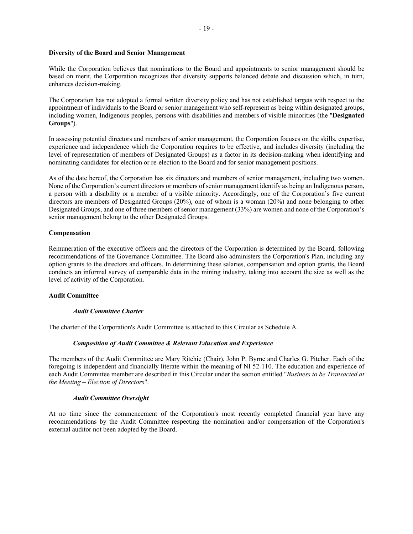#### **Diversity of the Board and Senior Management**

While the Corporation believes that nominations to the Board and appointments to senior management should be based on merit, the Corporation recognizes that diversity supports balanced debate and discussion which, in turn, enhances decision-making.

The Corporation has not adopted a formal written diversity policy and has not established targets with respect to the appointment of individuals to the Board or senior management who self-represent as being within designated groups, including women, Indigenous peoples, persons with disabilities and members of visible minorities (the "**Designated Groups**").

In assessing potential directors and members of senior management, the Corporation focuses on the skills, expertise, experience and independence which the Corporation requires to be effective, and includes diversity (including the level of representation of members of Designated Groups) as a factor in its decision-making when identifying and nominating candidates for election or re-election to the Board and for senior management positions.

As of the date hereof, the Corporation has six directors and members of senior management, including two women. None of the Corporation's current directors or members of senior management identify as being an Indigenous person, a person with a disability or a member of a visible minority. Accordingly, one of the Corporation's five current directors are members of Designated Groups (20%), one of whom is a woman (20%) and none belonging to other Designated Groups, and one of three members of senior management (33%) are women and none of the Corporation's senior management belong to the other Designated Groups.

#### **Compensation**

Remuneration of the executive officers and the directors of the Corporation is determined by the Board, following recommendations of the Governance Committee. The Board also administers the Corporation's Plan, including any option grants to the directors and officers. In determining these salaries, compensation and option grants, the Board conducts an informal survey of comparable data in the mining industry, taking into account the size as well as the level of activity of the Corporation.

#### **Audit Committee**

#### *Audit Committee Charter*

The charter of the Corporation's Audit Committee is attached to this Circular as Schedule A.

#### *Composition of Audit Committee & Relevant Education and Experience*

The members of the Audit Committee are Mary Ritchie (Chair), John P. Byrne and Charles G. Pitcher. Each of the foregoing is independent and financially literate within the meaning of NI 52-110. The education and experience of each Audit Committee member are described in this Circular under the section entitled "*Business to be Transacted at the Meeting – Election of Directors*".

#### *Audit Committee Oversight*

At no time since the commencement of the Corporation's most recently completed financial year have any recommendations by the Audit Committee respecting the nomination and/or compensation of the Corporation's external auditor not been adopted by the Board.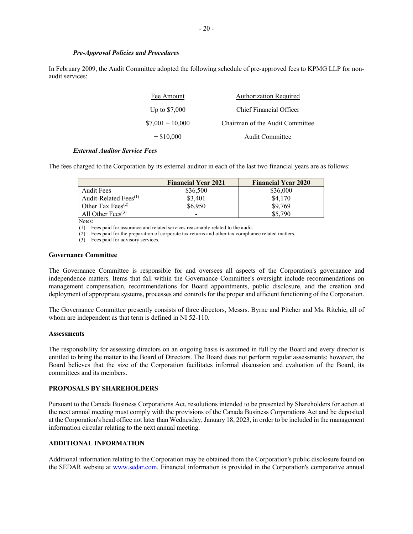In February 2009, the Audit Committee adopted the following schedule of pre-approved fees to KPMG LLP for nonaudit services:

| Fee Amount        | <b>Authorization Required</b>   |
|-------------------|---------------------------------|
| Up to $$7,000$    | Chief Financial Officer         |
| $$7,001 - 10,000$ | Chairman of the Audit Committee |
| $+$ \$10,000      | Audit Committee                 |

#### *External Auditor Service Fees*

The fees charged to the Corporation by its external auditor in each of the last two financial years are as follows:

|                                            | <b>Financial Year 2021</b> | <b>Financial Year 2020</b> |
|--------------------------------------------|----------------------------|----------------------------|
| Audit Fees                                 | \$36,500                   | \$36,000                   |
| Audit-Related Fees $(1)$                   | \$3,401                    | \$4,170                    |
| Other Tax Fees <sup><math>(2)</math></sup> | \$6,950                    | \$9,769                    |
| All Other Fees $(3)$                       | $\overline{\phantom{0}}$   | \$5,790                    |

Notes:

(1) Fees paid for assurance and related services reasonably related to the audit.

(2) Fees paid for the preparation of corporate tax returns and other tax compliance related matters.

(3) Fees paid for advisory services.

#### **Governance Committee**

The Governance Committee is responsible for and oversees all aspects of the Corporation's governance and independence matters. Items that fall within the Governance Committee's oversight include recommendations on management compensation, recommendations for Board appointments, public disclosure, and the creation and deployment of appropriate systems, processes and controls for the proper and efficient functioning of the Corporation.

The Governance Committee presently consists of three directors, Messrs. Byrne and Pitcher and Ms. Ritchie, all of whom are independent as that term is defined in NI 52-110.

#### **Assessments**

The responsibility for assessing directors on an ongoing basis is assumed in full by the Board and every director is entitled to bring the matter to the Board of Directors. The Board does not perform regular assessments; however, the Board believes that the size of the Corporation facilitates informal discussion and evaluation of the Board, its committees and its members.

#### **PROPOSALS BY SHAREHOLDERS**

Pursuant to the Canada Business Corporations Act, resolutions intended to be presented by Shareholders for action at the next annual meeting must comply with the provisions of the Canada Business Corporations Act and be deposited at the Corporation's head office not later than Wednesday, January 18, 2023, in order to be included in the management information circular relating to the next annual meeting.

#### **ADDITIONAL INFORMATION**

Additional information relating to the Corporation may be obtained from the Corporation's public disclosure found on the SEDAR website at www.sedar.com. Financial information is provided in the Corporation's comparative annual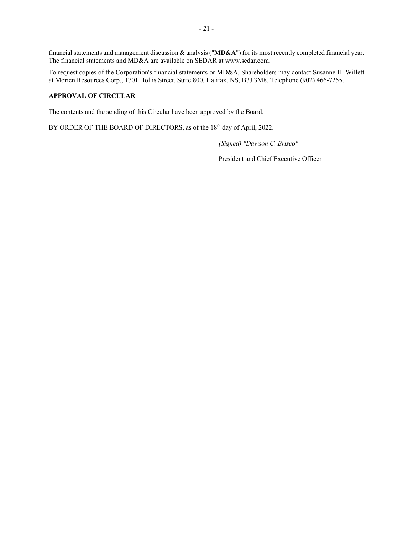financial statements and management discussion & analysis ("**MD&A**") for its most recently completed financial year. The financial statements and MD&A are available on SEDAR at www.sedar.com.

To request copies of the Corporation's financial statements or MD&A, Shareholders may contact Susanne H. Willett at Morien Resources Corp., 1701 Hollis Street, Suite 800, Halifax, NS, B3J 3M8, Telephone (902) 466-7255.

#### **APPROVAL OF CIRCULAR**

The contents and the sending of this Circular have been approved by the Board.

BY ORDER OF THE BOARD OF DIRECTORS, as of the 18<sup>th</sup> day of April, 2022.

*(Signed) "Dawson C. Brisco"*

President and Chief Executive Officer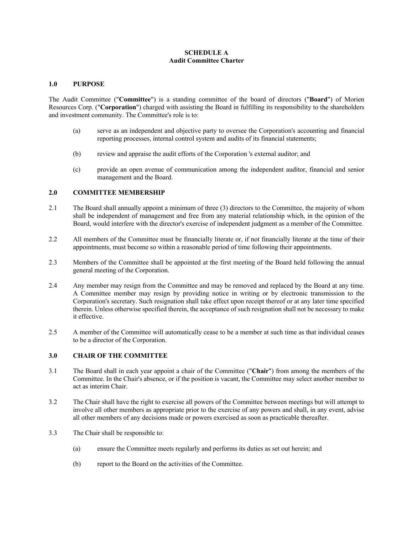#### **SCHEDULE A Audit Committee Charter**

#### **1.0 PURPOSE**

The Audit Committee ("**Committee**") is a standing committee of the board of directors ("**Board**") of Morien Resources Corp. ("**Corporation**") charged with assisting the Board in fulfilling its responsibility to the shareholders and investment community. The Committee's role is to:

- (a) serve as an independent and objective party to oversee the Corporation's accounting and financial reporting processes, internal control system and audits of its financial statements;
- (b) review and appraise the audit efforts of the Corporation 's external auditor; and
- (c) provide an open avenue of communication among the independent auditor, financial and senior management and the Board.

#### **2.0 COMMITTEE MEMBERSHIP**

- 2.1 The Board shall annually appoint a minimum of three (3) directors to the Committee, the majority of whom shall be independent of management and free from any material relationship which, in the opinion of the Board, would interfere with the director's exercise of independent judgment as a member of the Committee.
- 2.2 All members of the Committee must be financially literate or, if not financially literate at the time of their appointments, must become so within a reasonable period of time following their appointments.
- 2.3 Members of the Committee shall be appointed at the first meeting of the Board held following the annual general meeting of the Corporation.
- 2.4 Any member may resign from the Committee and may be removed and replaced by the Board at any time. A Committee member may resign by providing notice in writing or by electronic transmission to the Corporation's secretary. Such resignation shall take effect upon receipt thereof or at any later time specified therein. Unless otherwise specified therein, the acceptance of such resignation shall not be necessary to make it effective.
- 2.5 A member of the Committee will automatically cease to be a member at such time as that individual ceases to be a director of the Corporation.

#### **3.0 CHAIR OF THE COMMITTEE**

- 3.1 The Board shall in each year appoint a chair of the Committee ("**Chair**") from among the members of the Committee. In the Chair's absence, or if the position is vacant, the Committee may select another member to act as interim Chair.
- 3.2 The Chair shall have the right to exercise all powers of the Committee between meetings but will attempt to involve all other members as appropriate prior to the exercise of any powers and shall, in any event, advise all other members of any decisions made or powers exercised as soon as practicable thereafter.
- 3.3 The Chair shall be responsible to:
	- (a) ensure the Committee meets regularly and performs its duties as set out herein; and
	- (b) report to the Board on the activities of the Committee.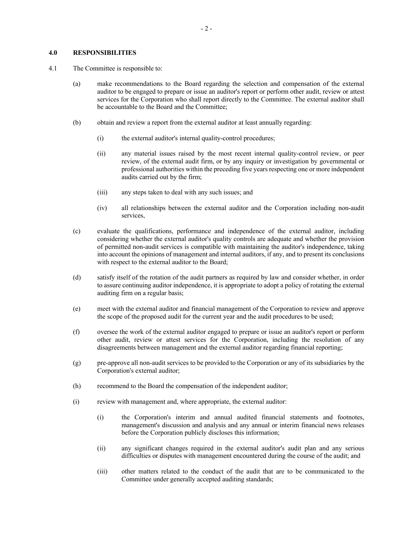#### **4.0 RESPONSIBILITIES**

- 4.1 The Committee is responsible to:
	- (a) make recommendations to the Board regarding the selection and compensation of the external auditor to be engaged to prepare or issue an auditor's report or perform other audit, review or attest services for the Corporation who shall report directly to the Committee. The external auditor shall be accountable to the Board and the Committee;
	- (b) obtain and review a report from the external auditor at least annually regarding:
		- (i) the external auditor's internal quality-control procedures;
		- (ii) any material issues raised by the most recent internal quality-control review, or peer review, of the external audit firm, or by any inquiry or investigation by governmental or professional authorities within the preceding five years respecting one or more independent audits carried out by the firm;
		- (iii) any steps taken to deal with any such issues; and
		- (iv) all relationships between the external auditor and the Corporation including non-audit services,
	- (c) evaluate the qualifications, performance and independence of the external auditor, including considering whether the external auditor's quality controls are adequate and whether the provision of permitted non-audit services is compatible with maintaining the auditor's independence, taking into account the opinions of management and internal auditors, if any, and to present its conclusions with respect to the external auditor to the Board;
	- (d) satisfy itself of the rotation of the audit partners as required by law and consider whether, in order to assure continuing auditor independence, it is appropriate to adopt a policy of rotating the external auditing firm on a regular basis;
	- (e) meet with the external auditor and financial management of the Corporation to review and approve the scope of the proposed audit for the current year and the audit procedures to be used;
	- (f) oversee the work of the external auditor engaged to prepare or issue an auditor's report or perform other audit, review or attest services for the Corporation, including the resolution of any disagreements between management and the external auditor regarding financial reporting;
	- (g) pre-approve all non-audit services to be provided to the Corporation or any of its subsidiaries by the Corporation's external auditor;
	- (h) recommend to the Board the compensation of the independent auditor;
	- (i) review with management and, where appropriate, the external auditor:
		- (i) the Corporation's interim and annual audited financial statements and footnotes, management's discussion and analysis and any annual or interim financial news releases before the Corporation publicly discloses this information;
		- (ii) any significant changes required in the external auditor's audit plan and any serious difficulties or disputes with management encountered during the course of the audit; and
		- (iii) other matters related to the conduct of the audit that are to be communicated to the Committee under generally accepted auditing standards;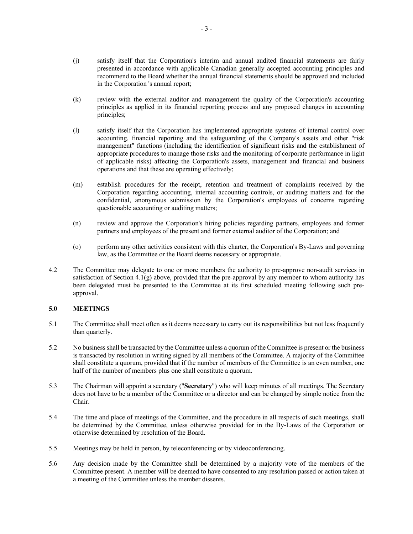- (j) satisfy itself that the Corporation's interim and annual audited financial statements are fairly presented in accordance with applicable Canadian generally accepted accounting principles and recommend to the Board whether the annual financial statements should be approved and included in the Corporation 's annual report;
- (k) review with the external auditor and management the quality of the Corporation's accounting principles as applied in its financial reporting process and any proposed changes in accounting principles;
- (l) satisfy itself that the Corporation has implemented appropriate systems of internal control over accounting, financial reporting and the safeguarding of the Company's assets and other "risk management" functions (including the identification of significant risks and the establishment of appropriate procedures to manage those risks and the monitoring of corporate performance in light of applicable risks) affecting the Corporation's assets, management and financial and business operations and that these are operating effectively;
- (m) establish procedures for the receipt, retention and treatment of complaints received by the Corporation regarding accounting, internal accounting controls, or auditing matters and for the confidential, anonymous submission by the Corporation's employees of concerns regarding questionable accounting or auditing matters;
- (n) review and approve the Corporation's hiring policies regarding partners, employees and former partners and employees of the present and former external auditor of the Corporation; and
- (o) perform any other activities consistent with this charter, the Corporation's By-Laws and governing law, as the Committee or the Board deems necessary or appropriate.
- 4.2 The Committee may delegate to one or more members the authority to pre-approve non-audit services in satisfaction of Section 4.1(g) above, provided that the pre-approval by any member to whom authority has been delegated must be presented to the Committee at its first scheduled meeting following such preapproval.

#### **5.0 MEETINGS**

- 5.1 The Committee shall meet often as it deems necessary to carry out its responsibilities but not less frequently than quarterly.
- 5.2 No business shall be transacted by the Committee unless a quorum of the Committee is present or the business is transacted by resolution in writing signed by all members of the Committee. A majority of the Committee shall constitute a quorum, provided that if the number of members of the Committee is an even number, one half of the number of members plus one shall constitute a quorum.
- 5.3 The Chairman will appoint a secretary ("**Secretary**") who will keep minutes of all meetings. The Secretary does not have to be a member of the Committee or a director and can be changed by simple notice from the Chair.
- 5.4 The time and place of meetings of the Committee, and the procedure in all respects of such meetings, shall be determined by the Committee, unless otherwise provided for in the By-Laws of the Corporation or otherwise determined by resolution of the Board.
- 5.5 Meetings may be held in person, by teleconferencing or by videoconferencing.
- 5.6 Any decision made by the Committee shall be determined by a majority vote of the members of the Committee present. A member will be deemed to have consented to any resolution passed or action taken at a meeting of the Committee unless the member dissents.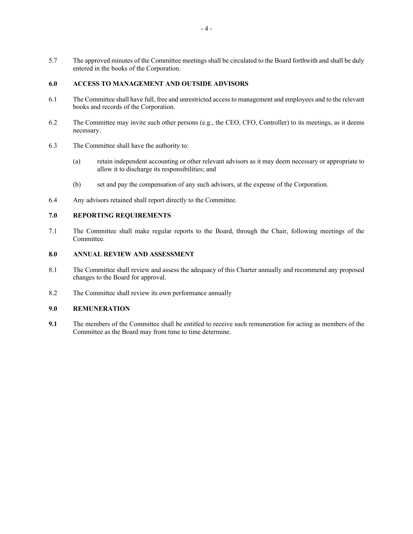5.7 The approved minutes of the Committee meetings shall be circulated to the Board forthwith and shall be duly entered in the books of the Corporation.

#### **6.0 ACCESS TO MANAGEMENT AND OUTSIDE ADVISORS**

- 6.1 The Committee shall have full, free and unrestricted access to management and employees and to the relevant books and records of the Corporation.
- 6.2 The Committee may invite such other persons (e.g., the CEO, CFO, Controller) to its meetings, as it deems necessary.
- 6.3 The Committee shall have the authority to:
	- (a) retain independent accounting or other relevant advisors as it may deem necessary or appropriate to allow it to discharge its responsibilities; and
	- (b) set and pay the compensation of any such advisors, at the expense of the Corporation.
- 6.4 Any advisors retained shall report directly to the Committee.

#### **7.0 REPORTING REQUIREMENTS**

7.1 The Committee shall make regular reports to the Board, through the Chair, following meetings of the Committee.

#### **8.0 ANNUAL REVIEW AND ASSESSMENT**

- 8.1 The Committee shall review and assess the adequacy of this Charter annually and recommend any proposed changes to the Board for approval.
- 8.2 The Committee shall review its own performance annually

#### **9.0 REMUNERATION**

**9.1** The members of the Committee shall be entitled to receive such remuneration for acting as members of the Committee as the Board may from time to time determine.